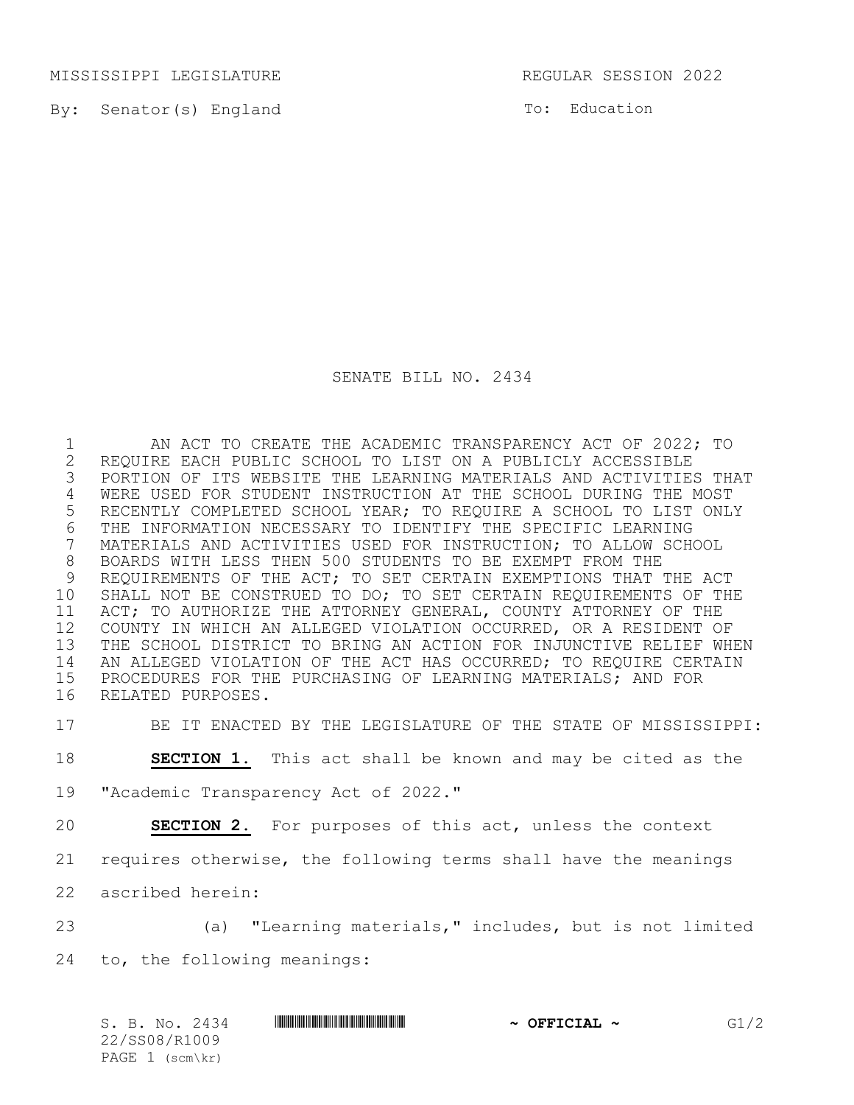MISSISSIPPI LEGISLATURE REGULAR SESSION 2022

By: Senator(s) England

To: Education

SENATE BILL NO. 2434

 AN ACT TO CREATE THE ACADEMIC TRANSPARENCY ACT OF 2022; TO 2 REQUIRE EACH PUBLIC SCHOOL TO LIST ON A PUBLICLY ACCESSIBLE<br>3 PORTION OF ITS WEBSITE THE LEARNING MATERIALS AND ACTIVITIE; PORTION OF ITS WEBSITE THE LEARNING MATERIALS AND ACTIVITIES THAT WERE USED FOR STUDENT INSTRUCTION AT THE SCHOOL DURING THE MOST RECENTLY COMPLETED SCHOOL YEAR; TO REQUIRE A SCHOOL TO LIST ONLY 6 THE INFORMATION NECESSARY TO IDENTIFY THE SPECIFIC LEARNING<br>7 MATERIALS AND ACTIVITIES USED FOR INSTRUCTION; TO ALLOW SCH MATERIALS AND ACTIVITIES USED FOR INSTRUCTION; TO ALLOW SCHOOL BOARDS WITH LESS THEN 500 STUDENTS TO BE EXEMPT FROM THE REQUIREMENTS OF THE ACT; TO SET CERTAIN EXEMPTIONS THAT THE ACT SHALL NOT BE CONSTRUED TO DO; TO SET CERTAIN REQUIREMENTS OF THE ACT; TO AUTHORIZE THE ATTORNEY GENERAL, COUNTY ATTORNEY OF THE COUNTY IN WHICH AN ALLEGED VIOLATION OCCURRED, OR A RESIDENT OF THE SCHOOL DISTRICT TO BRING AN ACTION FOR INJUNCTIVE RELIEF WHEN AN ALLEGED VIOLATION OF THE ACT HAS OCCURRED; TO REQUIRE CERTAIN PROCEDURES FOR THE PURCHASING OF LEARNING MATERIALS; AND FOR RELATED PURPOSES.

BE IT ENACTED BY THE LEGISLATURE OF THE STATE OF MISSISSIPPI:

**SECTION 1.** This act shall be known and may be cited as the

"Academic Transparency Act of 2022."

**SECTION 2.** For purposes of this act, unless the context

requires otherwise, the following terms shall have the meanings

ascribed herein:

 (a) "Learning materials," includes, but is not limited to, the following meanings:

 $S. B. No. 2434$  **\$SP08/R1009/R1009/R1009/R1009/R1009/R1009/R1009/R1009/R1009/R1009/R1009/R1009/R1009/R1009/R1009/R1009/R1009/R1009/R1009/R1009/R1009/R1009/R1009/R1009/R1009/R1009/R1009/R1009/R1009/R1009/R1009/R1009/R1009/R1** 22/SS08/R1009 PAGE 1 (scm\kr)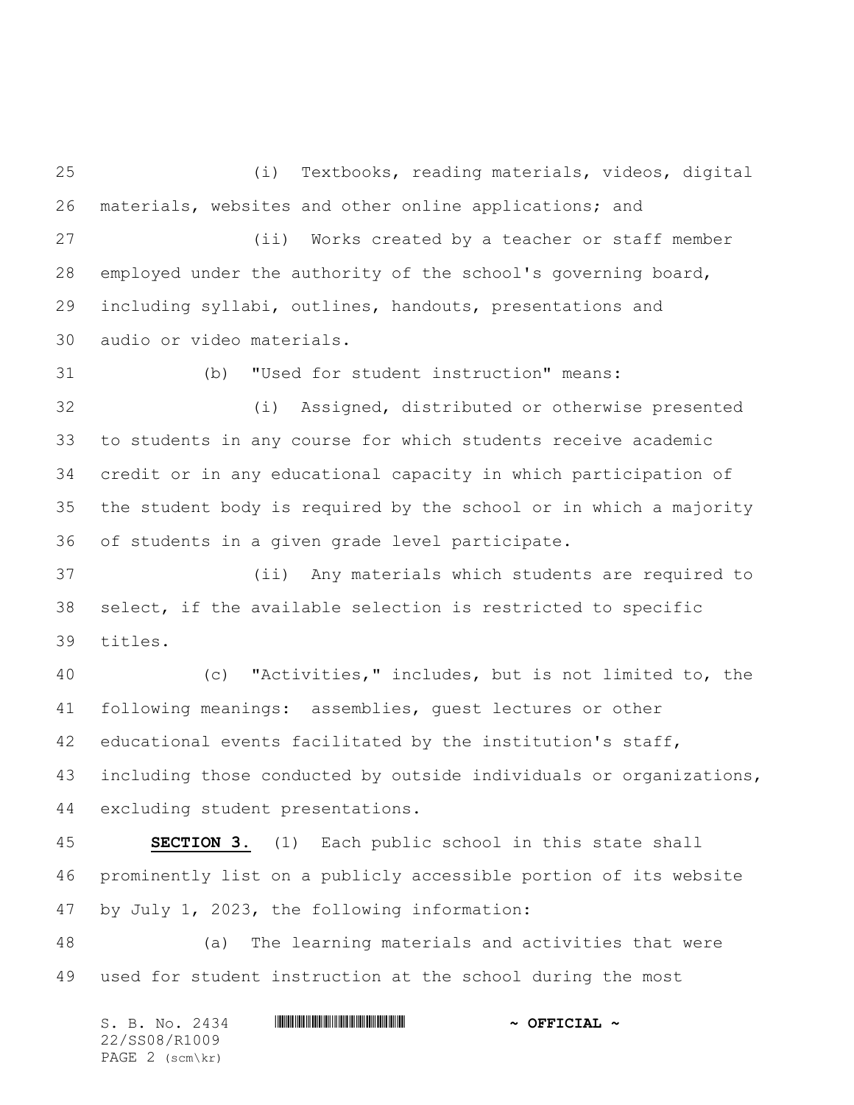(i) Textbooks, reading materials, videos, digital materials, websites and other online applications; and

 (ii) Works created by a teacher or staff member employed under the authority of the school's governing board, including syllabi, outlines, handouts, presentations and audio or video materials.

(b) "Used for student instruction" means:

 (i) Assigned, distributed or otherwise presented to students in any course for which students receive academic credit or in any educational capacity in which participation of the student body is required by the school or in which a majority of students in a given grade level participate.

 (ii) Any materials which students are required to select, if the available selection is restricted to specific titles.

 (c) "Activities," includes, but is not limited to, the following meanings: assemblies, guest lectures or other educational events facilitated by the institution's staff, including those conducted by outside individuals or organizations, excluding student presentations.

 **SECTION 3.** (1) Each public school in this state shall prominently list on a publicly accessible portion of its website by July 1, 2023, the following information:

 (a) The learning materials and activities that were used for student instruction at the school during the most

S. B. No. 2434 \*SS08/R1009\* **~ OFFICIAL ~** 22/SS08/R1009 PAGE 2 (scm\kr)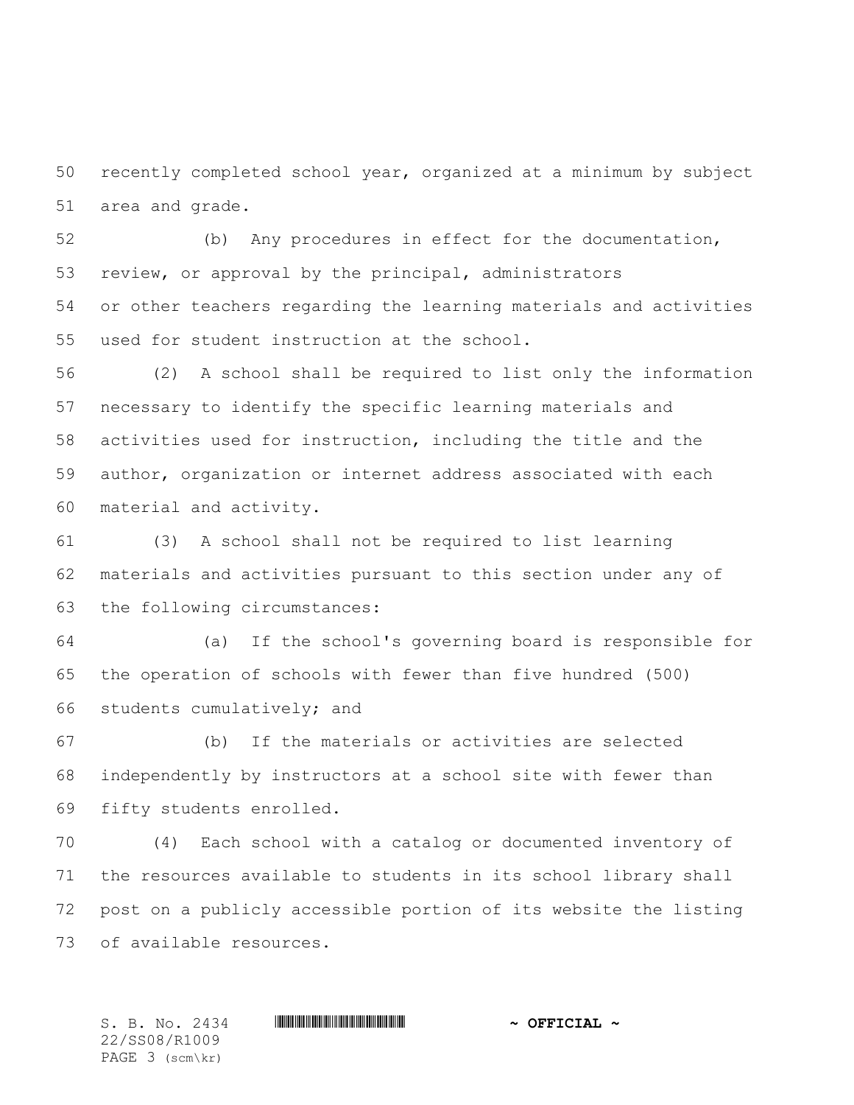recently completed school year, organized at a minimum by subject area and grade.

 (b) Any procedures in effect for the documentation, review, or approval by the principal, administrators or other teachers regarding the learning materials and activities used for student instruction at the school.

 (2) A school shall be required to list only the information necessary to identify the specific learning materials and activities used for instruction, including the title and the author, organization or internet address associated with each material and activity.

 (3) A school shall not be required to list learning materials and activities pursuant to this section under any of the following circumstances:

 (a) If the school's governing board is responsible for the operation of schools with fewer than five hundred (500) students cumulatively; and

 (b) If the materials or activities are selected independently by instructors at a school site with fewer than fifty students enrolled.

 (4) Each school with a catalog or documented inventory of the resources available to students in its school library shall post on a publicly accessible portion of its website the listing of available resources.

22/SS08/R1009 PAGE 3 (scm\kr)

 $S. B. No. 2434$  **. Suppose the suppose of the set of**  $\sim$  **OFFICIAL**  $\sim$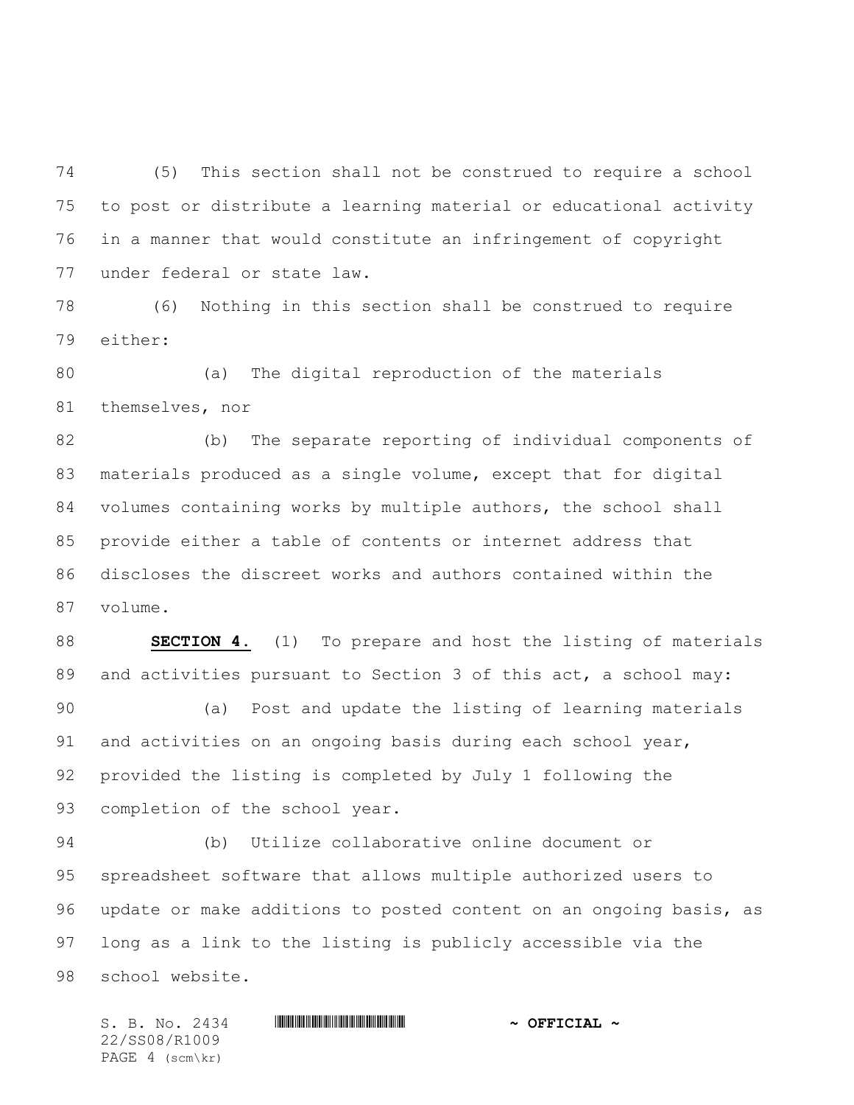(5) This section shall not be construed to require a school to post or distribute a learning material or educational activity in a manner that would constitute an infringement of copyright under federal or state law.

 (6) Nothing in this section shall be construed to require either:

 (a) The digital reproduction of the materials themselves, nor

 (b) The separate reporting of individual components of materials produced as a single volume, except that for digital volumes containing works by multiple authors, the school shall provide either a table of contents or internet address that discloses the discreet works and authors contained within the volume.

 **SECTION 4.** (1) To prepare and host the listing of materials 89 and activities pursuant to Section 3 of this act, a school may:

 (a) Post and update the listing of learning materials and activities on an ongoing basis during each school year, provided the listing is completed by July 1 following the completion of the school year.

 (b) Utilize collaborative online document or spreadsheet software that allows multiple authorized users to update or make additions to posted content on an ongoing basis, as long as a link to the listing is publicly accessible via the school website.

 $S. B. No. 2434$  **. Suppose the suppose of the set of**  $\sim$  **OFFICIAL**  $\sim$ 22/SS08/R1009 PAGE 4 (scm\kr)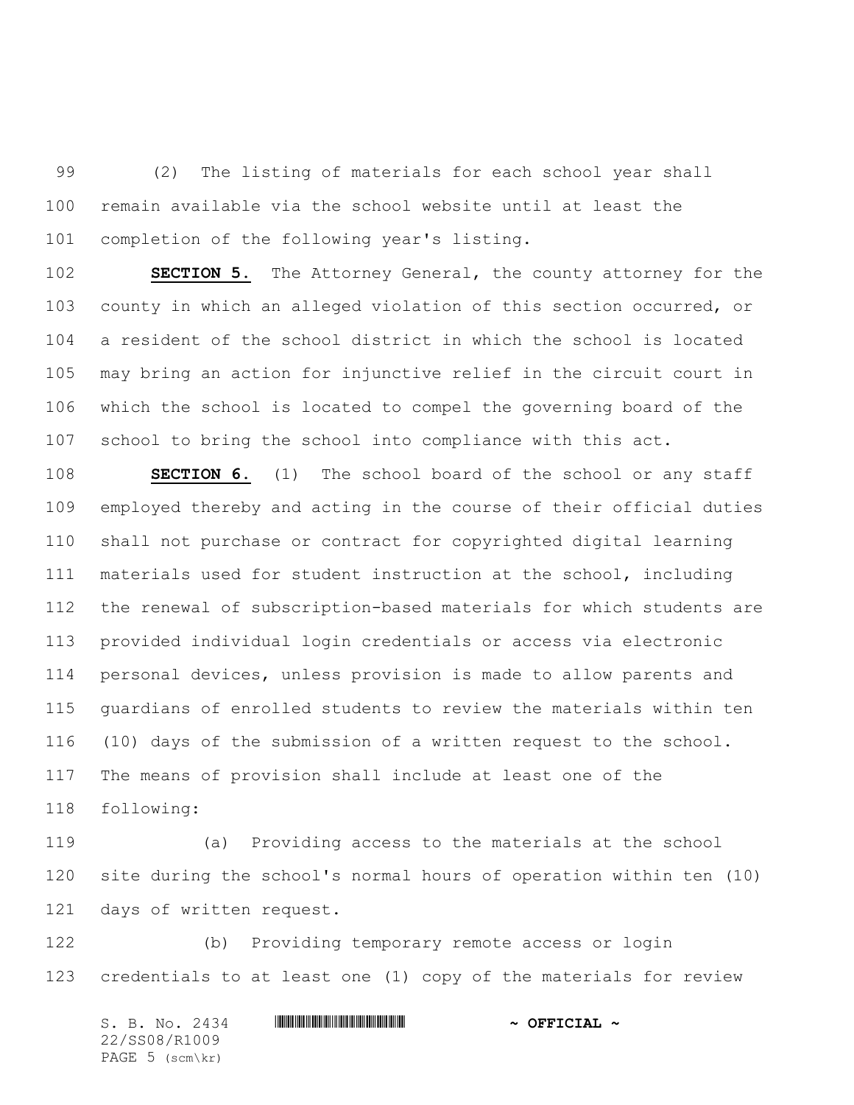(2) The listing of materials for each school year shall remain available via the school website until at least the completion of the following year's listing.

 **SECTION 5.** The Attorney General, the county attorney for the county in which an alleged violation of this section occurred, or a resident of the school district in which the school is located may bring an action for injunctive relief in the circuit court in which the school is located to compel the governing board of the school to bring the school into compliance with this act.

 **SECTION 6.** (1) The school board of the school or any staff employed thereby and acting in the course of their official duties shall not purchase or contract for copyrighted digital learning materials used for student instruction at the school, including the renewal of subscription-based materials for which students are provided individual login credentials or access via electronic personal devices, unless provision is made to allow parents and guardians of enrolled students to review the materials within ten (10) days of the submission of a written request to the school. The means of provision shall include at least one of the following:

 (a) Providing access to the materials at the school site during the school's normal hours of operation within ten (10) days of written request.

 (b) Providing temporary remote access or login credentials to at least one (1) copy of the materials for review

S. B. No. 2434 \*SS08/R1009\* **~ OFFICIAL ~** 22/SS08/R1009 PAGE 5 (scm\kr)